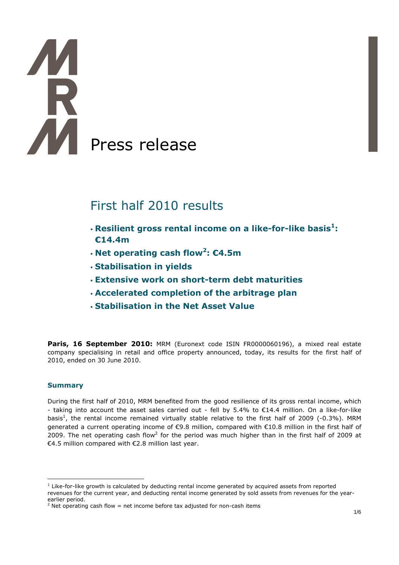# **TA**<br>R Press release

# First half 2010 results

- **Resilient gross rental income on a like-for-like basis<sup>1</sup> : €14.4m**
- **Net operating cash flow<sup>2</sup> : €4.5m**
- **Stabilisation in yields**
- **Extensive work on short-term debt maturities**
- **Accelerated completion of the arbitrage plan**
- **Stabilisation in the Net Asset Value**

**Paris, 16 September 2010:** MRM (Euronext code ISIN FR0000060196), a mixed real estate company specialising in retail and office property announced, today, its results for the first half of 2010, ended on 30 June 2010.

#### **Summary**

 $\overline{a}$ 

During the first half of 2010, MRM benefited from the good resilience of its gross rental income, which - taking into account the asset sales carried out - fell by 5.4% to €14.4 million. On a like-for-like basis<sup>1</sup>, the rental income remained virtually stable relative to the first half of 2009 (-0.3%). MRM generated a current operating income of €9.8 million, compared with €10.8 million in the first half of 2009. The net operating cash flow<sup>2</sup> for the period was much higher than in the first half of 2009 at €4.5 million compared with €2.8 million last year.

 $<sup>1</sup>$  Like-for-like growth is calculated by deducting rental income generated by acquired assets from reported</sup> revenues for the current year, and deducting rental income generated by sold assets from revenues for the yearearlier period.

<sup>&</sup>lt;sup>2</sup> Net operating cash flow = net income before tax adjusted for non-cash items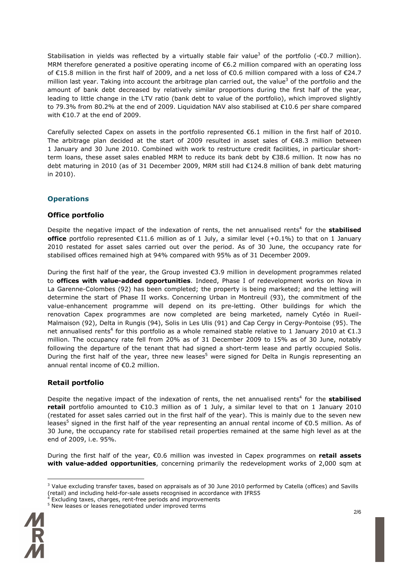Stabilisation in yields was reflected by a virtually stable fair value<sup>3</sup> of the portfolio (- $\epsilon$ 0.7 million). MRM therefore generated a positive operating income of €6.2 million compared with an operating loss of €15.8 million in the first half of 2009, and a net loss of €0.6 million compared with a loss of €24.7 million last year. Taking into account the arbitrage plan carried out, the value<sup>3</sup> of the portfolio and the amount of bank debt decreased by relatively similar proportions during the first half of the year, leading to little change in the LTV ratio (bank debt to value of the portfolio), which improved slightly to 79.3% from 80.2% at the end of 2009. Liquidation NAV also stabilised at €10.6 per share compared with  $€10.7$  at the end of 2009.

Carefully selected Capex on assets in the portfolio represented €6.1 million in the first half of 2010. The arbitrage plan decided at the start of 2009 resulted in asset sales of €48.3 million between 1 January and 30 June 2010. Combined with work to restructure credit facilities, in particular shortterm loans, these asset sales enabled MRM to reduce its bank debt by €38.6 million. It now has no debt maturing in 2010 (as of 31 December 2009, MRM still had €124.8 million of bank debt maturing in 2010).

# **Operations**

#### **Office portfolio**

Despite the negative impact of the indexation of rents, the net annualised rents<sup>4</sup> for the **stabilised office** portfolio represented €11.6 million as of 1 July, a similar level (+0.1%) to that on 1 January 2010 restated for asset sales carried out over the period. As of 30 June, the occupancy rate for stabilised offices remained high at 94% compared with 95% as of 31 December 2009.

During the first half of the year, the Group invested €3.9 million in development programmes related to **offices with value-added opportunities**. Indeed, Phase I of redevelopment works on Nova in La Garenne-Colombes (92) has been completed; the property is being marketed; and the letting will determine the start of Phase II works. Concerning Urban in Montreuil (93), the commitment of the value-enhancement programme will depend on its pre-letting. Other buildings for which the renovation Capex programmes are now completed are being marketed, namely Cytéo in Rueil-Malmaison (92), Delta in Rungis (94), Solis in Les Ulis (91) and Cap Cergy in Cergy-Pontoise (95). The net annualised rents<sup>4</sup> for this portfolio as a whole remained stable relative to 1 January 2010 at  $\epsilon$ 1.3 million. The occupancy rate fell from 20% as of 31 December 2009 to 15% as of 30 June, notably following the departure of the tenant that had signed a short-term lease and partly occupied Solis. During the first half of the year, three new leases<sup>5</sup> were signed for Delta in Rungis representing an annual rental income of €0.2 million.

# **Retail portfolio**

Despite the negative impact of the indexation of rents, the net annualised rents<sup>4</sup> for the **stabilised retail** portfolio amounted to €10.3 million as of 1 July, a similar level to that on 1 January 2010 (restated for asset sales carried out in the first half of the year). This is mainly due to the seven new leases<sup>5</sup> signed in the first half of the year representing an annual rental income of  $\epsilon$ 0.5 million. As of 30 June, the occupancy rate for stabilised retail properties remained at the same high level as at the end of 2009, i.e. 95%.

During the first half of the year, €0.6 million was invested in Capex programmes on **retail assets with value-added opportunities**, concerning primarily the redevelopment works of 2,000 sqm at

 $5$  New leases or leases renegotiated under improved terms



 $\overline{a}$ 

<sup>&</sup>lt;sup>3</sup> Value excluding transfer taxes, based on appraisals as of 30 June 2010 performed by Catella (offices) and Savills (retail) and including held-for-sale assets recognised in accordance with IFRS5

Excluding taxes, charges, rent-free periods and improvements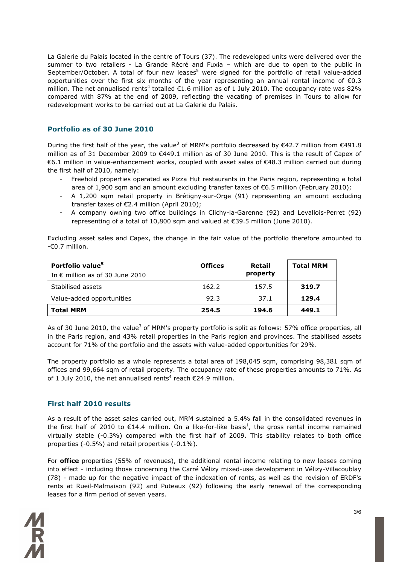La Galerie du Palais located in the centre of Tours (37). The redeveloped units were delivered over the summer to two retailers - La Grande Récré and Fuxia – which are due to open to the public in September/October. A total of four new leases<sup>5</sup> were signed for the portfolio of retail value-added opportunities over the first six months of the year representing an annual rental income of  $\epsilon$ 0.3 million. The net annualised rents<sup>4</sup> totalled  $\epsilon$ 1.6 million as of 1 July 2010. The occupancy rate was 82% compared with 87% at the end of 2009, reflecting the vacating of premises in Tours to allow for redevelopment works to be carried out at La Galerie du Palais.

#### **Portfolio as of 30 June 2010**

During the first half of the year, the value<sup>3</sup> of MRM's portfolio decreased by €42.7 million from €491.8 million as of 31 December 2009 to €449.1 million as of 30 June 2010. This is the result of Capex of €6.1 million in value-enhancement works, coupled with asset sales of €48.3 million carried out during the first half of 2010, namely:

- Freehold properties operated as Pizza Hut restaurants in the Paris region, representing a total area of 1,900 sqm and an amount excluding transfer taxes of  $\epsilon$ 6.5 million (February 2010);
- A 1,200 sqm retail property in Brétigny-sur-Orge (91) representing an amount excluding transfer taxes of €2.4 million (April 2010);
- A company owning two office buildings in Clichy-la-Garenne (92) and Levallois-Perret (92) representing of a total of 10,800 sqm and valued at €39.5 million (June 2010).

Excluding asset sales and Capex, the change in the fair value of the portfolio therefore amounted to -€0.7 million.

| Portfolio value <sup>5</sup><br>In $\epsilon$ million as of 30 June 2010 | <b>Offices</b> | Retail<br>property | <b>Total MRM</b> |
|--------------------------------------------------------------------------|----------------|--------------------|------------------|
| Stabilised assets                                                        | 162.2          | 157.5              | 319.7            |
| Value-added opportunities                                                | 92.3           | 37.1               | 129.4            |
| <b>Total MRM</b>                                                         | 254.5          | 194.6              | 449.1            |

As of 30 June 2010, the value<sup>3</sup> of MRM's property portfolio is split as follows: 57% office properties, all in the Paris region, and 43% retail properties in the Paris region and provinces. The stabilised assets account for 71% of the portfolio and the assets with value-added opportunities for 29%.

The property portfolio as a whole represents a total area of 198,045 sqm, comprising 98,381 sqm of offices and 99,664 sqm of retail property. The occupancy rate of these properties amounts to 71%. As of 1 July 2010, the net annualised rents<sup>4</sup> reach  $\epsilon$ 24.9 million.

# **First half 2010 results**

As a result of the asset sales carried out, MRM sustained a 5.4% fall in the consolidated revenues in the first half of 2010 to  $\epsilon$ 14.4 million. On a like-for-like basis<sup>1</sup>, the gross rental income remained virtually stable (-0.3%) compared with the first half of 2009. This stability relates to both office properties (-0.5%) and retail properties (-0.1%).

For **office** properties (55% of revenues), the additional rental income relating to new leases coming into effect - including those concerning the Carré Vélizy mixed-use development in Vélizy-Villacoublay (78) - made up for the negative impact of the indexation of rents, as well as the revision of ERDF's rents at Rueil-Malmaison (92) and Puteaux (92) following the early renewal of the corresponding leases for a firm period of seven years.

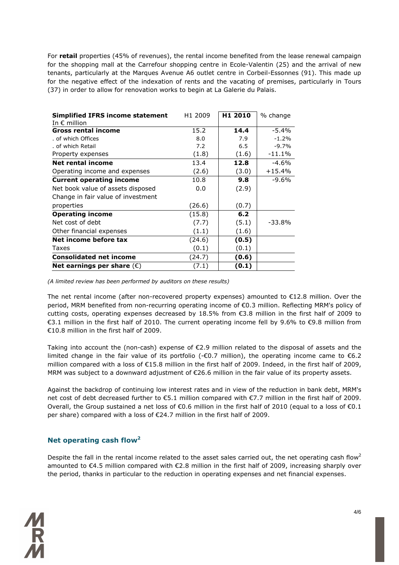For **retail** properties (45% of revenues), the rental income benefited from the lease renewal campaign for the shopping mall at the Carrefour shopping centre in Ecole-Valentin (25) and the arrival of new tenants, particularly at the Marques Avenue A6 outlet centre in Corbeil-Essonnes (91). This made up for the negative effect of the indexation of rents and the vacating of premises, particularly in Tours (37) in order to allow for renovation works to begin at La Galerie du Palais.

| <b>Simplified IFRS income statement</b><br>In $\epsilon$ million | H1 2009 | H1 2010 | % change |
|------------------------------------------------------------------|---------|---------|----------|
| Gross rental income                                              | 15.2    | 14.4    | $-5.4\%$ |
| . of which Offices                                               | 8.0     | 7.9     | $-1.2%$  |
| . of which Retail                                                | 7.2     | 6.5     | $-9.7%$  |
| Property expenses                                                | (1.8)   | (1.6)   | $-11.1%$ |
| Net rental income                                                | 13.4    | 12.8    | $-4.6\%$ |
| Operating income and expenses                                    | (2.6)   | (3.0)   | $+15.4%$ |
| <b>Current operating income</b>                                  | 10.8    | 9.8     | -9.6%    |
| Net book value of assets disposed                                | 0.0     | (2.9)   |          |
| Change in fair value of investment                               |         |         |          |
| properties                                                       | (26.6)  | (0.7)   |          |
| <b>Operating income</b>                                          | (15.8)  | 6.2     |          |
| Net cost of debt                                                 | (7.7)   | (5.1)   | $-33.8%$ |
| Other financial expenses                                         | (1.1)   | (1.6)   |          |
| Net income before tax                                            | (24.6)  | (0.5)   |          |
| Taxes                                                            | (0.1)   | (0.1)   |          |
| <b>Consolidated net income</b>                                   | (24.7)  | (0.6)   |          |
| Net earnings per share $(\epsilon)$                              | (7.1)   | (0.1)   |          |

*(A limited review has been performed by auditors on these results)* 

The net rental income (after non-recovered property expenses) amounted to €12.8 million. Over the period, MRM benefited from non-recurring operating income of €0.3 million. Reflecting MRM's policy of cutting costs, operating expenses decreased by 18.5% from €3.8 million in the first half of 2009 to €3.1 million in the first half of 2010. The current operating income fell by 9.6% to €9.8 million from €10.8 million in the first half of 2009.

Taking into account the (non-cash) expense of  $\epsilon$ 2.9 million related to the disposal of assets and the limited change in the fair value of its portfolio (-€0.7 million), the operating income came to  $\epsilon$ 6.2 million compared with a loss of €15.8 million in the first half of 2009. Indeed, in the first half of 2009, MRM was subject to a downward adjustment of €26.6 million in the fair value of its property assets.

Against the backdrop of continuing low interest rates and in view of the reduction in bank debt, MRM's net cost of debt decreased further to €5.1 million compared with €7.7 million in the first half of 2009. Overall, the Group sustained a net loss of  $\epsilon$ 0.6 million in the first half of 2010 (equal to a loss of  $\epsilon$ 0.1 per share) compared with a loss of €24.7 million in the first half of 2009.

# **Net operating cash flow<sup>2</sup>**

Despite the fall in the rental income related to the asset sales carried out, the net operating cash flow<sup>2</sup> amounted to €4.5 million compared with €2.8 million in the first half of 2009, increasing sharply over the period, thanks in particular to the reduction in operating expenses and net financial expenses.

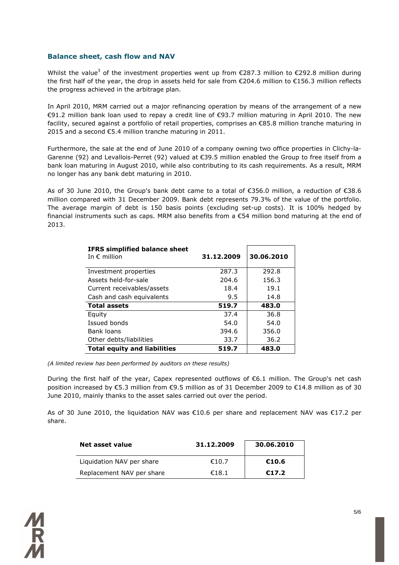#### **Balance sheet, cash flow and NAV**

Whilst the value<sup>3</sup> of the investment properties went up from  $E$ 287.3 million to  $E$ 292.8 million during the first half of the year, the drop in assets held for sale from €204.6 million to €156.3 million reflects the progress achieved in the arbitrage plan.

In April 2010, MRM carried out a major refinancing operation by means of the arrangement of a new €91.2 million bank loan used to repay a credit line of €93.7 million maturing in April 2010. The new facility, secured against a portfolio of retail properties, comprises an €85.8 million tranche maturing in 2015 and a second €5.4 million tranche maturing in 2011.

Furthermore, the sale at the end of June 2010 of a company owning two office properties in Clichy-la-Garenne (92) and Levallois-Perret (92) valued at €39.5 million enabled the Group to free itself from a bank loan maturing in August 2010, while also contributing to its cash requirements. As a result, MRM no longer has any bank debt maturing in 2010.

As of 30 June 2010, the Group's bank debt came to a total of €356.0 million, a reduction of €38.6 million compared with 31 December 2009. Bank debt represents 79.3% of the value of the portfolio. The average margin of debt is 150 basis points (excluding set-up costs). It is 100% hedged by financial instruments such as caps. MRM also benefits from a €54 million bond maturing at the end of 2013.

| <b>IFRS simplified balance sheet</b><br>In $\epsilon$ million | 31.12.2009 | 30.06.2010 |
|---------------------------------------------------------------|------------|------------|
| Investment properties                                         | 287.3      | 292.8      |
| Assets held-for-sale                                          | 204.6      | 156.3      |
| Current receivables/assets                                    | 18.4       | 19.1       |
| Cash and cash equivalents                                     | 9.5        | 14.8       |
| <b>Total assets</b>                                           | 519.7      | 483.0      |
| Equity                                                        | 37.4       | 36.8       |
| Issued bonds                                                  | 54.0       | 54.0       |
| Bank loans                                                    | 394.6      | 356.0      |
| Other debts/liabilities                                       | 33.7       | 36.2       |
| <b>Total equity and liabilities</b>                           | 519.7      | 483.0      |

*(A limited review has been performed by auditors on these results)* 

During the first half of the year, Capex represented outflows of €6.1 million. The Group's net cash position increased by €5.3 million from €9.5 million as of 31 December 2009 to €14.8 million as of 30 June 2010, mainly thanks to the asset sales carried out over the period.

As of 30 June 2010, the liquidation NAV was €10.6 per share and replacement NAV was €17.2 per share.

| Net asset value           | 31.12.2009 | 30.06.2010 |
|---------------------------|------------|------------|
| Liquidation NAV per share | €10.7      | €10.6      |
| Replacement NAV per share | €18.1      | €17.2      |